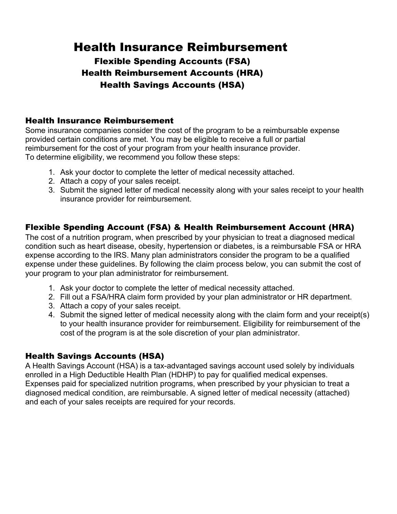# Health Insurance Reimbursement

# Flexible Spending Accounts (FSA) Health Reimbursement Accounts (HRA) Health Savings Accounts (HSA)

#### Health Insurance Reimbursement

Some insurance companies consider the cost of the program to be a reimbursable expense provided certain conditions are met. You may be eligible to receive a full or partial reimbursement for the cost of your program from your health insurance provider. To determine eligibility, we recommend you follow these steps:

- 1. Ask your doctor to complete the letter of medical necessity attached.
- 2. Attach a copy of your sales receipt.
- 3. Submit the signed letter of medical necessity along with your sales receipt to your health insurance provider for reimbursement.

### Flexible Spending Account (FSA) & Health Reimbursement Account (HRA)

The cost of a nutrition program, when prescribed by your physician to treat a diagnosed medical condition such as heart disease, obesity, hypertension or diabetes, is a reimbursable FSA or HRA expense according to the IRS. Many plan administrators consider the program to be a qualified expense under these guidelines. By following the claim process below, you can submit the cost of your program to your plan administrator for reimbursement.

- 1. Ask your doctor to complete the letter of medical necessity attached.
- 2. Fill out a FSA/HRA claim form provided by your plan administrator or HR department.
- 3. Attach a copy of your sales receipt.
- 4. Submit the signed letter of medical necessity along with the claim form and your receipt(s) to your health insurance provider for reimbursement. Eligibility for reimbursement of the cost of the program is at the sole discretion of your plan administrator.

#### Health Savings Accounts (HSA)

A Health Savings Account (HSA) is a tax-advantaged savings account used solely by individuals enrolled in a High Deductible Health Plan (HDHP) to pay for qualified medical expenses. Expenses paid for specialized nutrition programs, when prescribed by your physician to treat a diagnosed medical condition, are reimbursable. A signed letter of medical necessity (attached) and each of your sales receipts are required for your records.